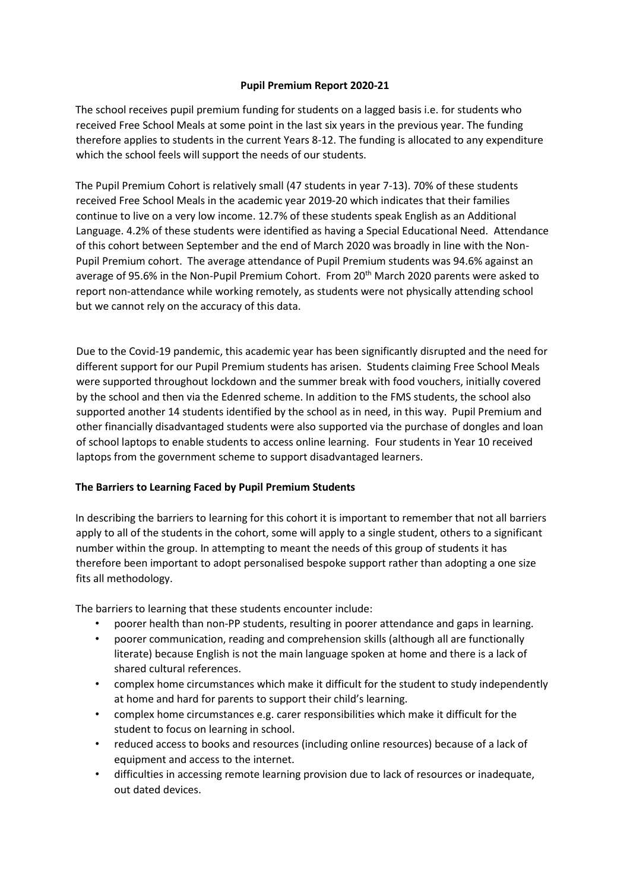## **Pupil Premium Report 2020-21**

The school receives pupil premium funding for students on a lagged basis i.e. for students who received Free School Meals at some point in the last six years in the previous year. The funding therefore applies to students in the current Years 8-12. The funding is allocated to any expenditure which the school feels will support the needs of our students.

The Pupil Premium Cohort is relatively small (47 students in year 7-13). 70% of these students received Free School Meals in the academic year 2019-20 which indicates that their families continue to live on a very low income. 12.7% of these students speak English as an Additional Language. 4.2% of these students were identified as having a Special Educational Need. Attendance of this cohort between September and the end of March 2020 was broadly in line with the Non-Pupil Premium cohort. The average attendance of Pupil Premium students was 94.6% against an average of 95.6% in the Non-Pupil Premium Cohort. From 20<sup>th</sup> March 2020 parents were asked to report non-attendance while working remotely, as students were not physically attending school but we cannot rely on the accuracy of this data.

Due to the Covid-19 pandemic, this academic year has been significantly disrupted and the need for different support for our Pupil Premium students has arisen. Students claiming Free School Meals were supported throughout lockdown and the summer break with food vouchers, initially covered by the school and then via the Edenred scheme. In addition to the FMS students, the school also supported another 14 students identified by the school as in need, in this way. Pupil Premium and other financially disadvantaged students were also supported via the purchase of dongles and loan of school laptops to enable students to access online learning. Four students in Year 10 received laptops from the government scheme to support disadvantaged learners.

## **The Barriers to Learning Faced by Pupil Premium Students**

In describing the barriers to learning for this cohort it is important to remember that not all barriers apply to all of the students in the cohort, some will apply to a single student, others to a significant number within the group. In attempting to meant the needs of this group of students it has therefore been important to adopt personalised bespoke support rather than adopting a one size fits all methodology.

The barriers to learning that these students encounter include:

- poorer health than non-PP students, resulting in poorer attendance and gaps in learning.
- poorer communication, reading and comprehension skills (although all are functionally literate) because English is not the main language spoken at home and there is a lack of shared cultural references.
- complex home circumstances which make it difficult for the student to study independently at home and hard for parents to support their child's learning.
- complex home circumstances e.g. carer responsibilities which make it difficult for the student to focus on learning in school.
- reduced access to books and resources (including online resources) because of a lack of equipment and access to the internet.
- difficulties in accessing remote learning provision due to lack of resources or inadequate, out dated devices.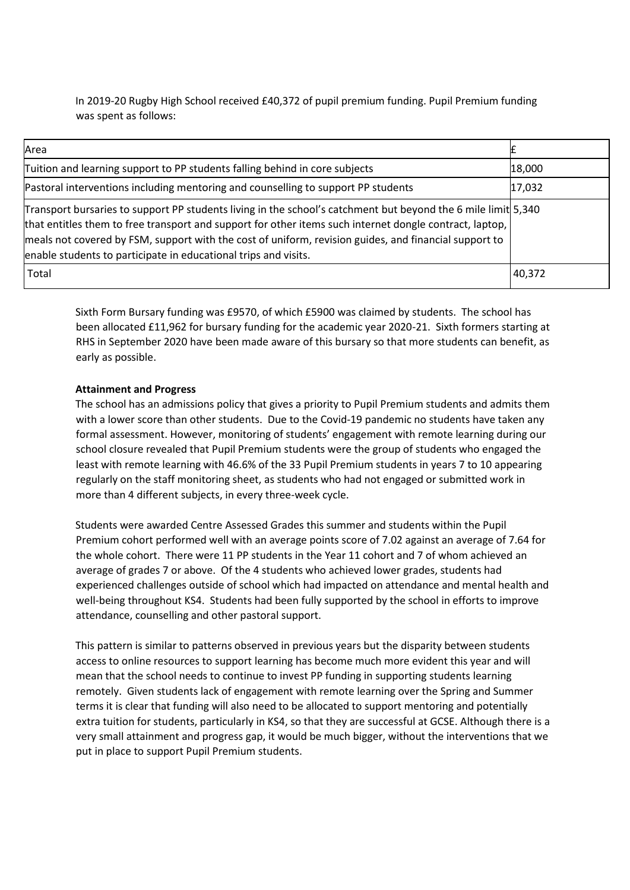In 2019-20 Rugby High School received £40,372 of pupil premium funding. Pupil Premium funding was spent as follows:

| Area                                                                                                                                                                                                                                                                                                                                                                                                 |        |
|------------------------------------------------------------------------------------------------------------------------------------------------------------------------------------------------------------------------------------------------------------------------------------------------------------------------------------------------------------------------------------------------------|--------|
| Tuition and learning support to PP students falling behind in core subjects                                                                                                                                                                                                                                                                                                                          | 18,000 |
| Pastoral interventions including mentoring and counselling to support PP students                                                                                                                                                                                                                                                                                                                    | 17,032 |
| Transport bursaries to support PP students living in the school's catchment but beyond the 6 mile limit 5,340<br>that entitles them to free transport and support for other items such internet dongle contract, laptop,<br>meals not covered by FSM, support with the cost of uniform, revision guides, and financial support to<br>enable students to participate in educational trips and visits. |        |
| Total                                                                                                                                                                                                                                                                                                                                                                                                | 40,372 |

Sixth Form Bursary funding was £9570, of which £5900 was claimed by students. The school has been allocated £11,962 for bursary funding for the academic year 2020-21. Sixth formers starting at RHS in September 2020 have been made aware of this bursary so that more students can benefit, as early as possible.

## **Attainment and Progress**

The school has an admissions policy that gives a priority to Pupil Premium students and admits them with a lower score than other students. Due to the Covid-19 pandemic no students have taken any formal assessment. However, monitoring of students' engagement with remote learning during our school closure revealed that Pupil Premium students were the group of students who engaged the least with remote learning with 46.6% of the 33 Pupil Premium students in years 7 to 10 appearing regularly on the staff monitoring sheet, as students who had not engaged or submitted work in more than 4 different subjects, in every three-week cycle.

Students were awarded Centre Assessed Grades this summer and students within the Pupil Premium cohort performed well with an average points score of 7.02 against an average of 7.64 for the whole cohort. There were 11 PP students in the Year 11 cohort and 7 of whom achieved an average of grades 7 or above. Of the 4 students who achieved lower grades, students had experienced challenges outside of school which had impacted on attendance and mental health and well-being throughout KS4. Students had been fully supported by the school in efforts to improve attendance, counselling and other pastoral support.

This pattern is similar to patterns observed in previous years but the disparity between students access to online resources to support learning has become much more evident this year and will mean that the school needs to continue to invest PP funding in supporting students learning remotely. Given students lack of engagement with remote learning over the Spring and Summer terms it is clear that funding will also need to be allocated to support mentoring and potentially extra tuition for students, particularly in KS4, so that they are successful at GCSE. Although there is a very small attainment and progress gap, it would be much bigger, without the interventions that we put in place to support Pupil Premium students.